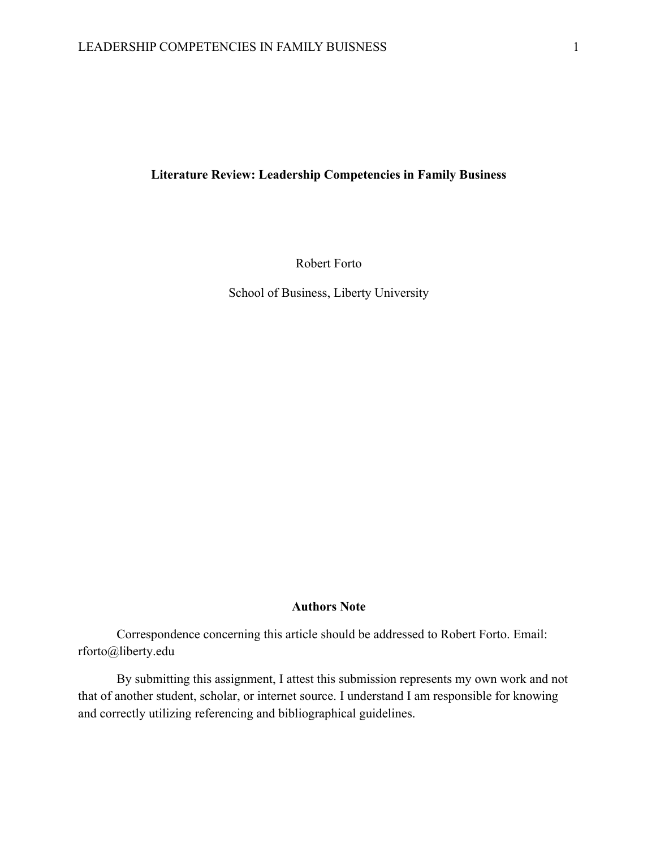# **Literature Review: Leadership Competencies in Family Business**

Robert Forto

School of Business, Liberty University

### **Authors Note**

Correspondence concerning this article should be addressed to Robert Forto. Email: rforto@liberty.edu

By submitting this assignment, I attest this submission represents my own work and not that of another student, scholar, or internet source. I understand I am responsible for knowing and correctly utilizing referencing and bibliographical guidelines.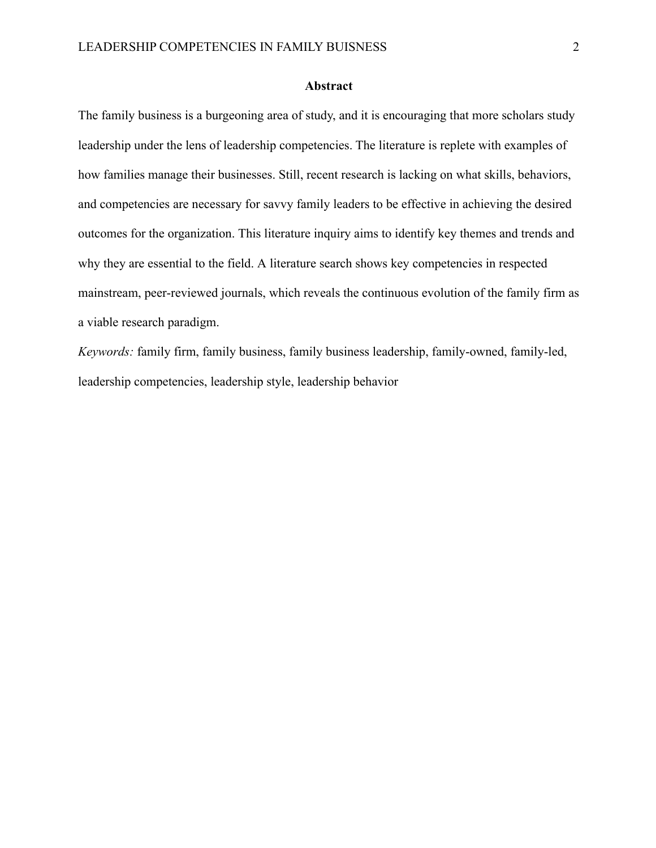### **Abstract**

The family business is a burgeoning area of study, and it is encouraging that more scholars study leadership under the lens of leadership competencies. The literature is replete with examples of how families manage their businesses. Still, recent research is lacking on what skills, behaviors, and competencies are necessary for savvy family leaders to be effective in achieving the desired outcomes for the organization. This literature inquiry aims to identify key themes and trends and why they are essential to the field. A literature search shows key competencies in respected mainstream, peer-reviewed journals, which reveals the continuous evolution of the family firm as a viable research paradigm.

*Keywords:* family firm, family business, family business leadership, family-owned, family-led, leadership competencies, leadership style, leadership behavior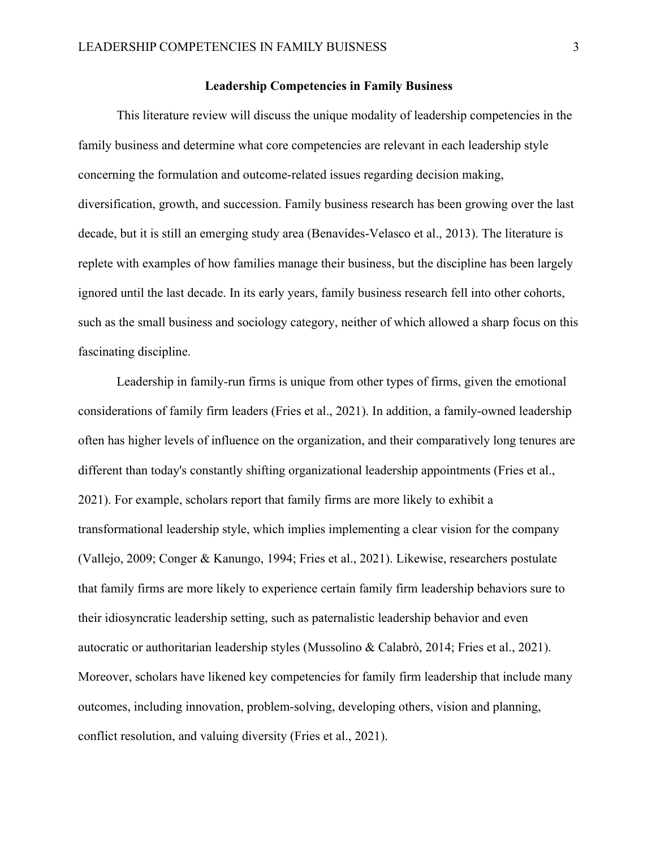### **Leadership Competencies in Family Business**

This literature review will discuss the unique modality of leadership competencies in the family business and determine what core competencies are relevant in each leadership style concerning the formulation and outcome-related issues regarding decision making, diversification, growth, and succession. Family business research has been growing over the last decade, but it is still an emerging study area (Benavides-Velasco et al., 2013). The literature is replete with examples of how families manage their business, but the discipline has been largely ignored until the last decade. In its early years, family business research fell into other cohorts, such as the small business and sociology category, neither of which allowed a sharp focus on this fascinating discipline.

Leadership in family-run firms is unique from other types of firms, given the emotional considerations of family firm leaders (Fries et al., 2021). In addition, a family-owned leadership often has higher levels of influence on the organization, and their comparatively long tenures are different than today's constantly shifting organizational leadership appointments (Fries et al., 2021). For example, scholars report that family firms are more likely to exhibit a transformational leadership style, which implies implementing a clear vision for the company (Vallejo, 2009; Conger & Kanungo, 1994; Fries et al., 2021). Likewise, researchers postulate that family firms are more likely to experience certain family firm leadership behaviors sure to their idiosyncratic leadership setting, such as paternalistic leadership behavior and even autocratic or authoritarian leadership styles (Mussolino & Calabrò, 2014; Fries et al., 2021). Moreover, scholars have likened key competencies for family firm leadership that include many outcomes, including innovation, problem-solving, developing others, vision and planning, conflict resolution, and valuing diversity (Fries et al., 2021).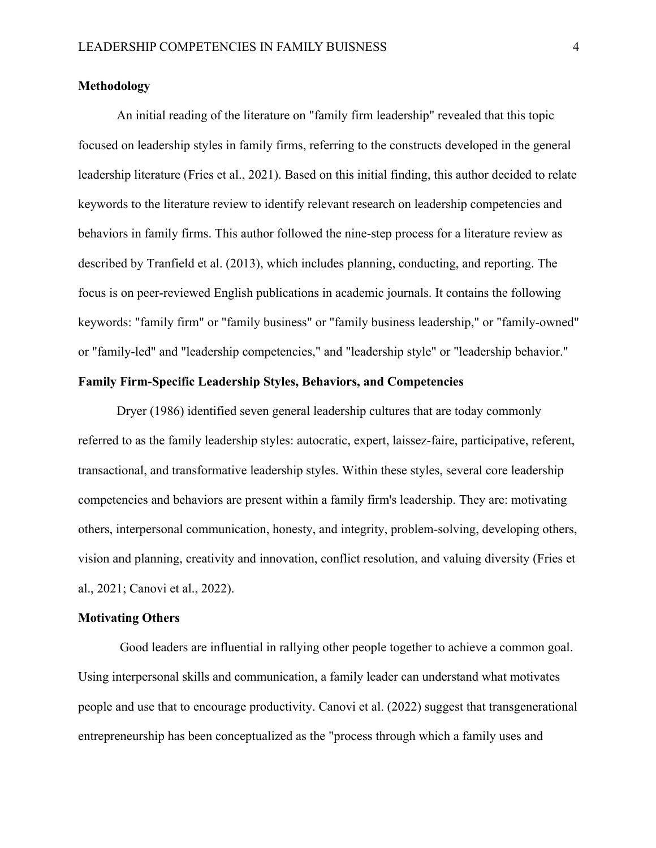## **Methodology**

An initial reading of the literature on "family firm leadership" revealed that this topic focused on leadership styles in family firms, referring to the constructs developed in the general leadership literature (Fries et al., 2021). Based on this initial finding, this author decided to relate keywords to the literature review to identify relevant research on leadership competencies and behaviors in family firms. This author followed the nine-step process for a literature review as described by Tranfield et al. (2013), which includes planning, conducting, and reporting. The focus is on peer-reviewed English publications in academic journals. It contains the following keywords: "family firm" or "family business" or "family business leadership," or "family-owned" or "family-led" and "leadership competencies," and "leadership style" or "leadership behavior."

### **Family Firm-Specific Leadership Styles, Behaviors, and Competencies**

Dryer (1986) identified seven general leadership cultures that are today commonly referred to as the family leadership styles: autocratic, expert, laissez-faire, participative, referent, transactional, and transformative leadership styles. Within these styles, several core leadership competencies and behaviors are present within a family firm's leadership. They are: motivating others, interpersonal communication, honesty, and integrity, problem-solving, developing others, vision and planning, creativity and innovation, conflict resolution, and valuing diversity (Fries et al., 2021; Canovi et al., 2022).

# **Motivating Others**

Good leaders are influential in rallying other people together to achieve a common goal. Using interpersonal skills and communication, a family leader can understand what motivates people and use that to encourage productivity. Canovi et al. (2022) suggest that transgenerational entrepreneurship has been conceptualized as the "process through which a family uses and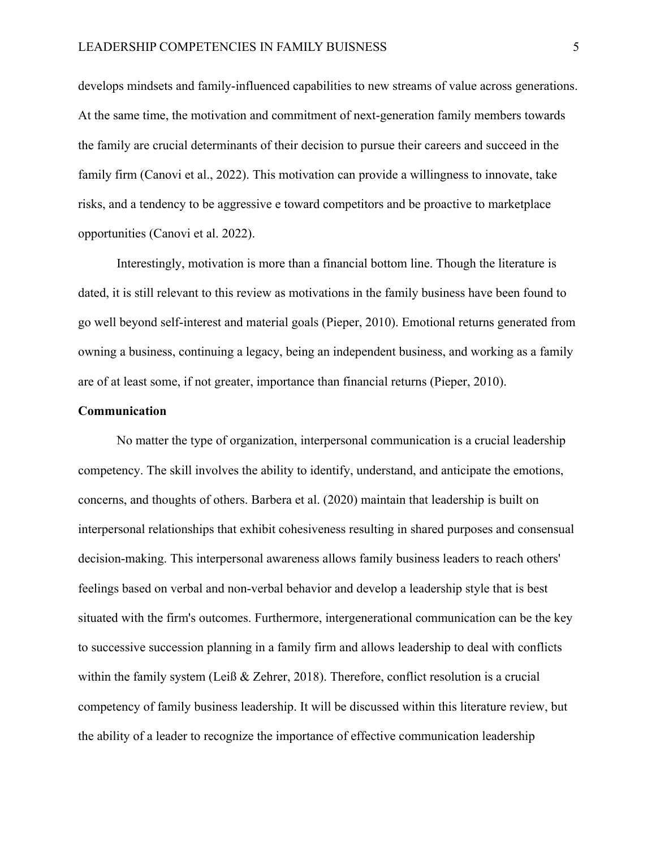develops mindsets and family-influenced capabilities to new streams of value across generations. At the same time, the motivation and commitment of next-generation family members towards the family are crucial determinants of their decision to pursue their careers and succeed in the family firm (Canovi et al., 2022). This motivation can provide a willingness to innovate, take risks, and a tendency to be aggressive e toward competitors and be proactive to marketplace opportunities (Canovi et al. 2022).

Interestingly, motivation is more than a financial bottom line. Though the literature is dated, it is still relevant to this review as motivations in the family business have been found to go well beyond self-interest and material goals (Pieper, 2010). Emotional returns generated from owning a business, continuing a legacy, being an independent business, and working as a family are of at least some, if not greater, importance than financial returns (Pieper, 2010).

### **Communication**

No matter the type of organization, interpersonal communication is a crucial leadership competency. The skill involves the ability to identify, understand, and anticipate the emotions, concerns, and thoughts of others. Barbera et al. (2020) maintain that leadership is built on interpersonal relationships that exhibit cohesiveness resulting in shared purposes and consensual decision-making. This interpersonal awareness allows family business leaders to reach others' feelings based on verbal and non-verbal behavior and develop a leadership style that is best situated with the firm's outcomes. Furthermore, intergenerational communication can be the key to successive succession planning in a family firm and allows leadership to deal with conflicts within the family system (Leiß & Zehrer, 2018). Therefore, conflict resolution is a crucial competency of family business leadership. It will be discussed within this literature review, but the ability of a leader to recognize the importance of effective communication leadership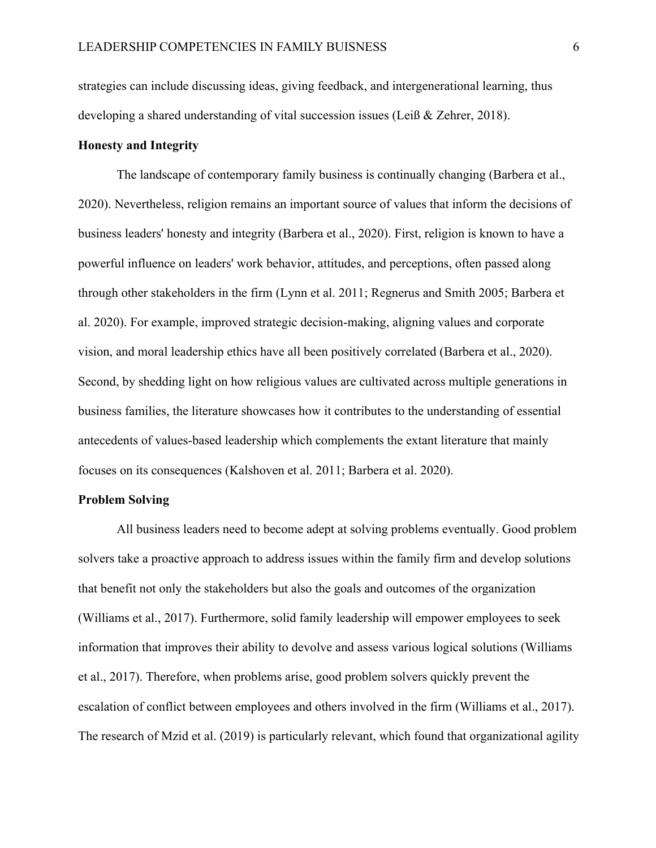strategies can include discussing ideas, giving feedback, and intergenerational learning, thus developing a shared understanding of vital succession issues (Leiß & Zehrer, 2018).

## **Honesty and Integrity**

The landscape of contemporary family business is continually changing (Barbera et al., 2020). Nevertheless, religion remains an important source of values that inform the decisions of business leaders' honesty and integrity (Barbera et al., 2020). First, religion is known to have a powerful influence on leaders' work behavior, attitudes, and perceptions, often passed along through other stakeholders in the firm (Lynn et al. 2011; Regnerus and Smith 2005; Barbera et al. 2020). For example, improved strategic decision-making, aligning values and corporate vision, and moral leadership ethics have all been positively correlated (Barbera et al., 2020). Second, by shedding light on how religious values are cultivated across multiple generations in business families, the literature showcases how it contributes to the understanding of essential antecedents of values-based leadership which complements the extant literature that mainly focuses on its consequences (Kalshoven et al. 2011; Barbera et al. 2020).

### **Problem Solving**

All business leaders need to become adept at solving problems eventually. Good problem solvers take a proactive approach to address issues within the family firm and develop solutions that benefit not only the stakeholders but also the goals and outcomes of the organization (Williams et al., 2017). Furthermore, solid family leadership will empower employees to seek information that improves their ability to devolve and assess various logical solutions (Williams et al., 2017). Therefore, when problems arise, good problem solvers quickly prevent the escalation of conflict between employees and others involved in the firm (Williams et al., 2017). The research of Mzid et al. (2019) is particularly relevant, which found that organizational agility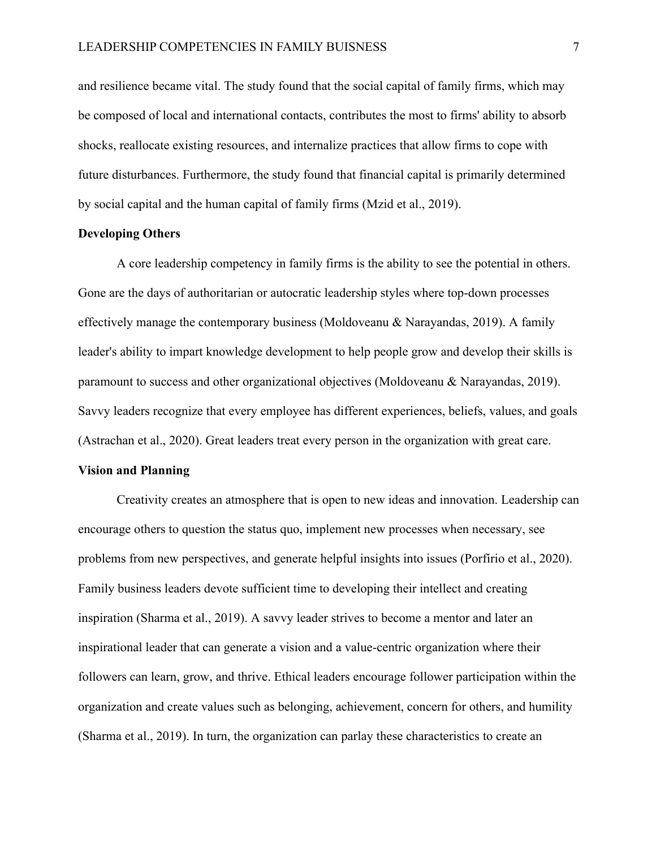and resilience became vital. The study found that the social capital of family firms, which may be composed of local and international contacts, contributes the most to firms' ability to absorb shocks, reallocate existing resources, and internalize practices that allow firms to cope with future disturbances. Furthermore, the study found that financial capital is primarily determined by social capital and the human capital of family firms (Mzid et al., 2019).

#### **Developing Others**

A core leadership competency in family firms is the ability to see the potential in others. Gone are the days of authoritarian or autocratic leadership styles where top-down processes effectively manage the contemporary business (Moldoveanu & Narayandas, 2019). A family leader's ability to impart knowledge development to help people grow and develop their skills is paramount to success and other organizational objectives (Moldoveanu & Narayandas, 2019). Savvy leaders recognize that every employee has different experiences, beliefs, values, and goals (Astrachan et al., 2020). Great leaders treat every person in the organization with great care.

### **Vision and Planning**

Creativity creates an atmosphere that is open to new ideas and innovation. Leadership can encourage others to question the status quo, implement new processes when necessary, see problems from new perspectives, and generate helpful insights into issues (Porfírio et al., 2020). Family business leaders devote sufficient time to developing their intellect and creating inspiration (Sharma et al., 2019). A savvy leader strives to become a mentor and later an inspirational leader that can generate a vision and a value-centric organization where their followers can learn, grow, and thrive. Ethical leaders encourage follower participation within the organization and create values such as belonging, achievement, concern for others, and humility (Sharma et al., 2019). In turn, the organization can parlay these characteristics to create an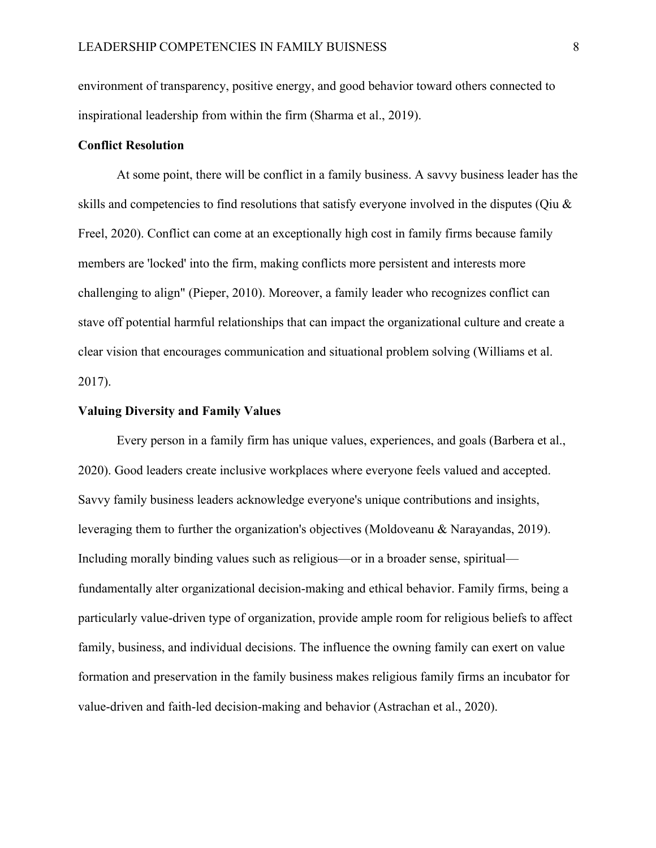environment of transparency, positive energy, and good behavior toward others connected to inspirational leadership from within the firm (Sharma et al., 2019).

### **Conflict Resolution**

At some point, there will be conflict in a family business. A savvy business leader has the skills and competencies to find resolutions that satisfy everyone involved in the disputes (Qiu & Freel, 2020). Conflict can come at an exceptionally high cost in family firms because family members are 'locked' into the firm, making conflicts more persistent and interests more challenging to align" (Pieper, 2010). Moreover, a family leader who recognizes conflict can stave off potential harmful relationships that can impact the organizational culture and create a clear vision that encourages communication and situational problem solving (Williams et al. 2017).

#### **Valuing Diversity and Family Values**

Every person in a family firm has unique values, experiences, and goals (Barbera et al., 2020). Good leaders create inclusive workplaces where everyone feels valued and accepted. Savvy family business leaders acknowledge everyone's unique contributions and insights, leveraging them to further the organization's objectives (Moldoveanu & Narayandas, 2019). Including morally binding values such as religious—or in a broader sense, spiritual fundamentally alter organizational decision-making and ethical behavior. Family firms, being a particularly value-driven type of organization, provide ample room for religious beliefs to affect family, business, and individual decisions. The influence the owning family can exert on value formation and preservation in the family business makes religious family firms an incubator for value-driven and faith-led decision-making and behavior (Astrachan et al., 2020).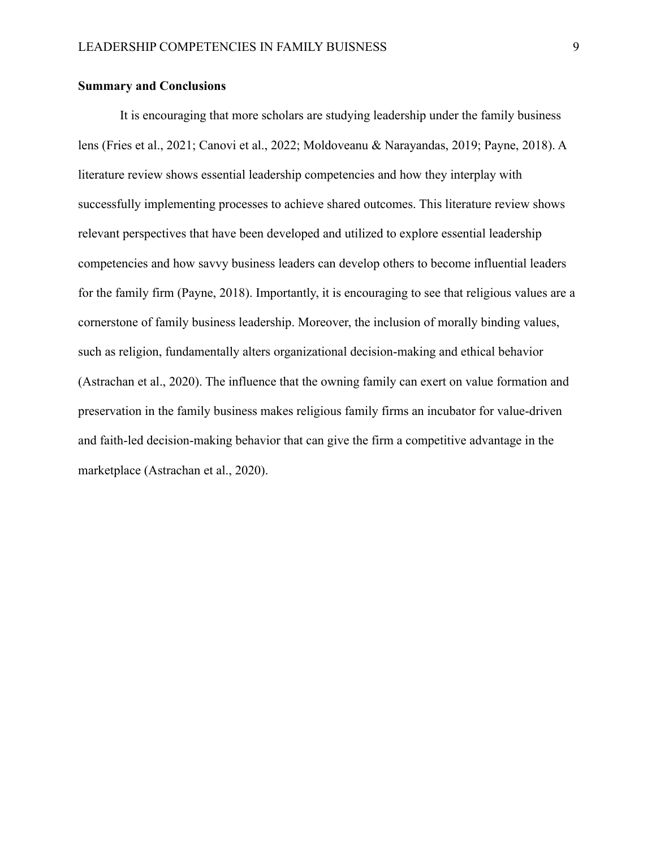## **Summary and Conclusions**

It is encouraging that more scholars are studying leadership under the family business lens (Fries et al., 2021; Canovi et al., 2022; Moldoveanu & Narayandas, 2019; Payne, 2018). A literature review shows essential leadership competencies and how they interplay with successfully implementing processes to achieve shared outcomes. This literature review shows relevant perspectives that have been developed and utilized to explore essential leadership competencies and how savvy business leaders can develop others to become influential leaders for the family firm (Payne, 2018). Importantly, it is encouraging to see that religious values are a cornerstone of family business leadership. Moreover, the inclusion of morally binding values, such as religion, fundamentally alters organizational decision-making and ethical behavior (Astrachan et al., 2020). The influence that the owning family can exert on value formation and preservation in the family business makes religious family firms an incubator for value-driven and faith-led decision-making behavior that can give the firm a competitive advantage in the marketplace (Astrachan et al., 2020).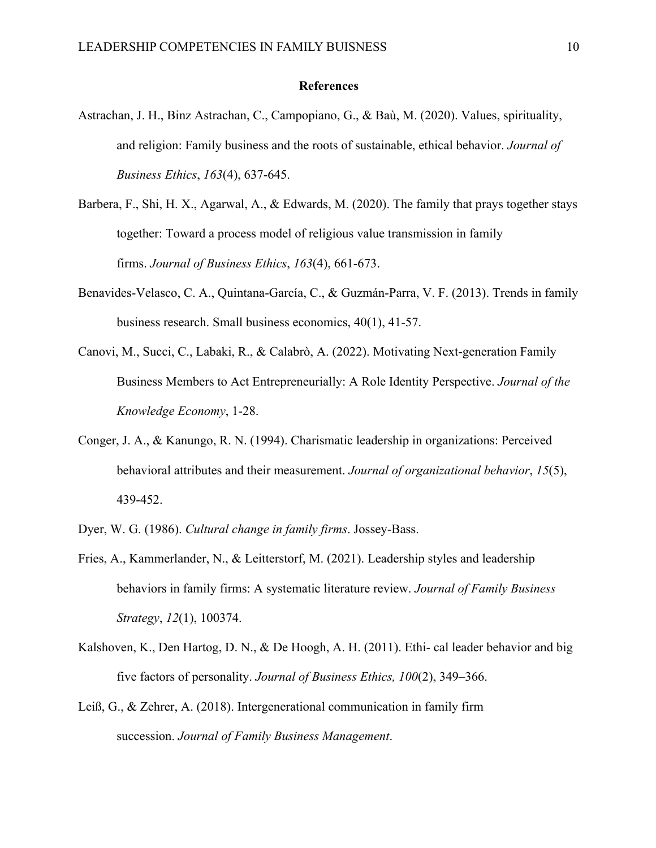### **References**

- Astrachan, J. H., Binz Astrachan, C., Campopiano, G., & Baù, M. (2020). Values, spirituality, and religion: Family business and the roots of sustainable, ethical behavior. *Journal of Business Ethics*, *163*(4), 637-645.
- Barbera, F., Shi, H. X., Agarwal, A., & Edwards, M. (2020). The family that prays together stays together: Toward a process model of religious value transmission in family firms. *Journal of Business Ethics*, *163*(4), 661-673.
- Benavides-Velasco, C. A., Quintana-García, C., & Guzmán-Parra, V. F. (2013). Trends in family business research. Small business economics, 40(1), 41-57.
- Canovi, M., Succi, C., Labaki, R., & Calabrò, A. (2022). Motivating Next-generation Family Business Members to Act Entrepreneurially: A Role Identity Perspective. *Journal of the Knowledge Economy*, 1-28.
- Conger, J. A., & Kanungo, R. N. (1994). Charismatic leadership in organizations: Perceived behavioral attributes and their measurement. *Journal of organizational behavior*, *15*(5), 439-452.
- Dyer, W. G. (1986). *Cultural change in family firms*. Jossey-Bass.
- Fries, A., Kammerlander, N., & Leitterstorf, M. (2021). Leadership styles and leadership behaviors in family firms: A systematic literature review. *Journal of Family Business Strategy*, *12*(1), 100374.
- Kalshoven, K., Den Hartog, D. N., & De Hoogh, A. H. (2011). Ethi- cal leader behavior and big five factors of personality. *Journal of Business Ethics, 100*(2), 349–366.
- Leiß, G., & Zehrer, A. (2018). Intergenerational communication in family firm succession. *Journal of Family Business Management*.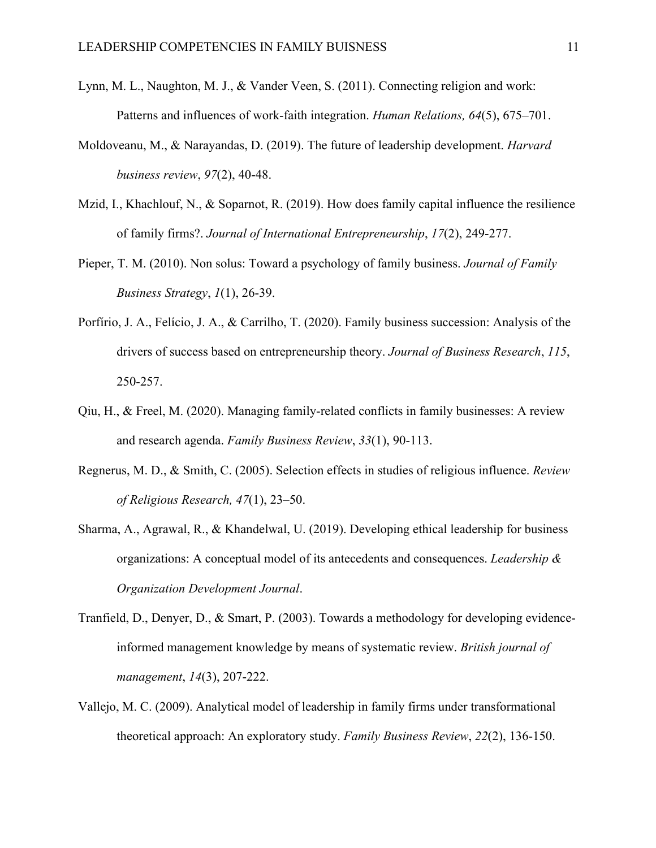- Lynn, M. L., Naughton, M. J., & Vander Veen, S. (2011). Connecting religion and work: Patterns and influences of work-faith integration. *Human Relations, 64*(5), 675–701.
- Moldoveanu, M., & Narayandas, D. (2019). The future of leadership development. *Harvard business review*, *97*(2), 40-48.
- Mzid, I., Khachlouf, N., & Soparnot, R. (2019). How does family capital influence the resilience of family firms?. *Journal of International Entrepreneurship*, *17*(2), 249-277.
- Pieper, T. M. (2010). Non solus: Toward a psychology of family business. *Journal of Family Business Strategy*, *1*(1), 26-39.
- Porfírio, J. A., Felício, J. A., & Carrilho, T. (2020). Family business succession: Analysis of the drivers of success based on entrepreneurship theory. *Journal of Business Research*, *115*, 250-257.
- Qiu, H., & Freel, M. (2020). Managing family-related conflicts in family businesses: A review and research agenda. *Family Business Review*, *33*(1), 90-113.
- Regnerus, M. D., & Smith, C. (2005). Selection effects in studies of religious influence. *Review of Religious Research, 47*(1), 23–50.
- Sharma, A., Agrawal, R., & Khandelwal, U. (2019). Developing ethical leadership for business organizations: A conceptual model of its antecedents and consequences. *Leadership & Organization Development Journal*.
- Tranfield, D., Denyer, D., & Smart, P. (2003). Towards a methodology for developing evidence‐ informed management knowledge by means of systematic review. *British journal of management*, *14*(3), 207-222.
- Vallejo, M. C. (2009). Analytical model of leadership in family firms under transformational theoretical approach: An exploratory study. *Family Business Review*, *22*(2), 136-150.